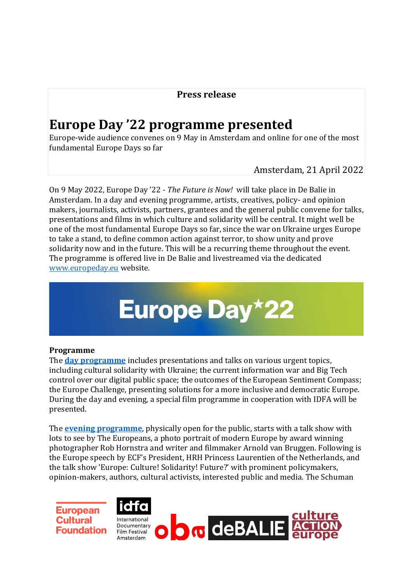### **Press release**

## **Europe Day '22 programme presented**

Europe-wide audience convenes on 9 May in Amsterdam and online for one of the most fundamental Europe Days so far

Amsterdam, 21 April 2022

On 9 May 2022, Europe Day '22 - *The Future is Now!* will take place in De Balie in Amsterdam. In a day and evening programme, artists, creatives, policy- and opinion makers, journalists, activists, partners, grantees and the general public convene for talks, presentations and films in which culture and solidarity will be central. It might well be one of the most fundamental Europe Days so far, since the war on Ukraine urges Europe to take a stand, to define common action against terror, to show unity and prove solidarity now and in the future. This will be a recurring theme throughout the event. The programme is offered live in De Balie and livestreamed via the dedicated [www.europeday.eu](https://europeday.eu/) website.

# **Europe Day\*22**

#### **Programme**

The **[day programme](https://europeday.eu/europe-day-22-programme/)** includes presentations and talks on various urgent topics, including cultural solidarity with Ukraine; the current information war and Big Tech control over our digital public space; the outcomes of the European Sentiment Compass; the Europe Challenge, presenting solutions for a more inclusive and democratic Europe. During the day and evening, a special film programme in cooperation with IDFA will be presented.

The **[evening programme](https://europeday.eu/europe-day-22-programme/)**, physically open for the public, starts with a talk show with lots to see by The Europeans, a photo portrait of modern Europe by award winning photographer Rob Hornstra and writer and filmmaker Arnold van Bruggen. Following is the Europe speech by ECF's President, HRH Princess Laurentien of the Netherlands, and the talk show 'Europe: Culture! Solidarity! Future?' with prominent policymakers, opinion-makers, authors, cultural activists, interested public and media. The Schuman

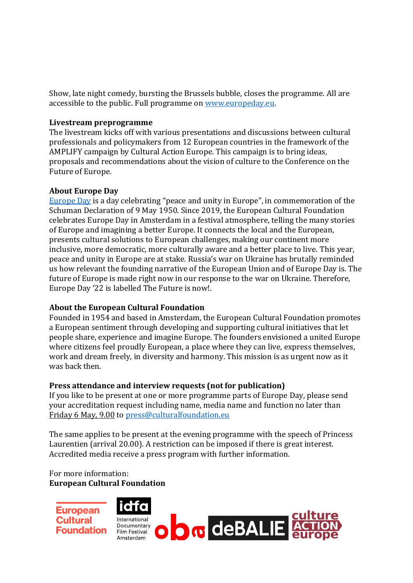Show, late night comedy, bursting the Brussels bubble, closes the programme. All are accessible to the public. Full programme o[n www.europeday.eu.](http://www.europeday.eu/)

#### **Livestream preprogramme**

The livestream kicks off with various presentations and discussions between cultural professionals and policymakers from 12 European countries in the framework of the AMPLIFY campaign by Cultural Action Europe. This campaign is to bring ideas, proposals and recommendations about the vision of culture to the Conference on the Future of Europe.

#### **About Europe Day**

[Europe Day](https://europeday.eu/) is a day celebrating "peace and unity in Europe", in commemoration of the Schuman Declaration of 9 May 1950. Since 2019, the European Cultural Foundation celebrates Europe Day in Amsterdam in a festival atmosphere, telling the many stories of Europe and imagining a better Europe. It connects the local and the European, presents cultural solutions to European challenges, making our continent more inclusive, more democratic, more culturally aware and a better place to live. This year, peace and unity in Europe are at stake. Russia's war on Ukraine has brutally reminded us how relevant the founding narrative of the European Union and of Europe Day is. The future of Europe is made right now in our response to the war on Ukraine. Therefore, Europe Day '22 is labelled The Future is now!.

#### **About the European Cultural Foundation**

Founded in 1954 and based in Amsterdam, the European Cultural Foundation promotes a European sentiment through developing and supporting cultural initiatives that let people share, experience and imagine Europe. The founders envisioned a united Europe where citizens feel proudly European, a place where they can live, express themselves, work and dream freely, in diversity and harmony. This mission is as urgent now as it was back then.

#### **Press attendance and interview requests (not for publication)**

If you like to be present at one or more programme parts of Europe Day, please send your accreditation request including name, media name and function no later than Friday 6 May, 9.00 to [press@culturalfoundation.eu](mailto:%20press@culturalfoundation.eu)

The same applies to be present at the evening programme with the speech of Princess Laurentien (arrival 20.00). A restriction can be imposed if there is great interest. Accredited media receive a press program with further information.

#### For more information: **European Cultural Foundation**